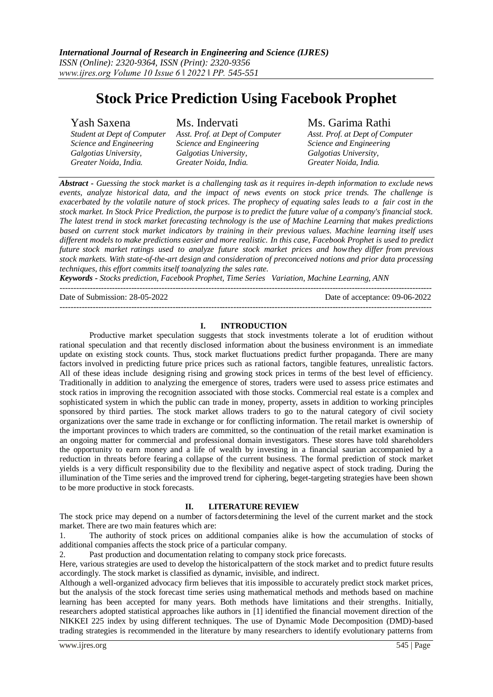# **Stock Price Prediction Using Facebook Prophet**

Yash Saxena Ms. Indervati Ms. Garima Rathi<br>Student at Dept of Computer Asst. Prof. at Dept of Computer Asst. Prof. at Dept of Computer *Student at Dept of Computer Asst. Prof. at Dept of Computer Asst. Prof. at Dept of Computer Science and Engineering Science and Engineering Science and Engineering Galgotias University, Galgotias University, Galgotias University, Greater Noida, India. Greater Noida, India. Greater Noida, India.*

*Abstract - Guessing the stock market is a challenging task as it requires in-depth information to exclude news events, analyze historical data, and the impact of news events on stock price trends. The challenge is exacerbated by the volatile nature of stock prices. The prophecy of equating sales leads to a fair cost in the stock market. In Stock Price Prediction, the purpose is to predict the future value of a company's financial stock. The latest trend in stock market forecasting technology is the use of Machine Learning that makes predictions based on current stock market indicators by training in their previous values. Machine learning itself uses different models to make predictions easier and more realistic. In this case, Facebook Prophet is used to predict future stock market ratings used to analyze future stock market prices and howthey differ from previous stock markets. With state-of-the-art design and consideration of preconceived notions and prior data processing techniques, this effort commits itself toanalyzing the sales rate.*

*Keywords - Stocks prediction, Facebook Prophet, Time Series Variation, Machine Learning, ANN*

---------------------------------------------------------------------------------------------------------------------------------------

Date of Submission: 28-05-2022 Date of acceptance: 09-06-2022

# **I. INTRODUCTION**

---------------------------------------------------------------------------------------------------------------------------------------

Productive market speculation suggests that stock investments tolerate a lot of erudition without rational speculation and that recently disclosed information about the business environment is an immediate update on existing stock counts. Thus, stock market fluctuations predict further propaganda. There are many factors involved in predicting future price prices such as rational factors, tangible features, unrealistic factors. All of these ideas include designing rising and growing stock prices in terms of the best level of efficiency. Traditionally in addition to analyzing the emergence of stores, traders were used to assess price estimates and stock ratios in improving the recognition associated with those stocks. Commercial real estate is a complex and sophisticated system in which the public can trade in money, property, assets in addition to working principles sponsored by third parties. The stock market allows traders to go to the natural category of civil society organizations over the same trade in exchange or for conflicting information. The retail market is ownership of the important provinces to which traders are committed, so the continuation of the retail market examination is an ongoing matter for commercial and professional domain investigators. These stores have told shareholders the opportunity to earn money and a life of wealth by investing in a financial saurian accompanied by a reduction in threats before fearing a collapse of the current business. The formal prediction of stock market yields is a very difficult responsibility due to the flexibility and negative aspect of stock trading. During the illumination of the Time series and the improved trend for ciphering, beget-targeting strategies have been shown to be more productive in stock forecasts.

# **II. LITERATURE REVIEW**

The stock price may depend on a number of factors determining the level of the current market and the stock market. There are two main features which are:

1. The authority of stock prices on additional companies alike is how the accumulation of stocks of additional companies affects the stock price of a particular company.

2. Past production and documentation relating to company stock price forecasts.

Here, various strategies are used to develop the historicalpattern of the stock market and to predict future results accordingly. The stock market is classified as dynamic, invisible, and indirect.

Although a well-organized advocacy firm believes that itis impossible to accurately predict stock market prices, but the analysis of the stock forecast time series using mathematical methods and methods based on machine learning has been accepted for many years. Both methods have limitations and their strengths. Initially, researchers adopted statistical approaches like authors in [1] identified the financial movement direction of the NIKKEI 225 index by using different techniques. The use of Dynamic Mode Decomposition (DMD)-based trading strategies is recommended in the literature by many researchers to identify evolutionary patterns from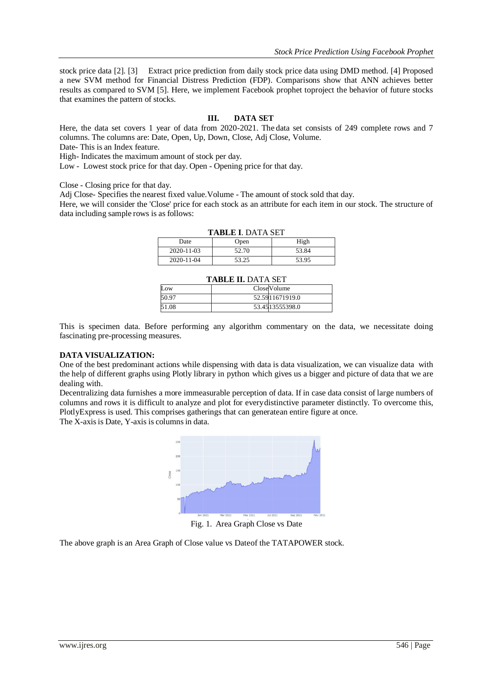stock price data [2]. [3] Extract price prediction from daily stock price data using DMD method. [4] Proposed a new SVM method for Financial Distress Prediction (FDP). Comparisons show that ANN achieves better results as compared to SVM [5]. Here, we implement Facebook prophet toproject the behavior of future stocks that examines the pattern of stocks.

#### **III. DATA SET**

Here, the data set covers 1 year of data from 2020-2021. The data set consists of 249 complete rows and 7 columns. The columns are: Date, Open, Up, Down, Close, Adj Close, Volume.

Date- This is an Index feature.

High- Indicates the maximum amount of stock per day.

Low - Lowest stock price for that day. Open - Opening price for that day.

Close - Closing price for that day.

Adj Close- Specifies the nearest fixed value.Volume - The amount of stock sold that day.

Here, we will consider the 'Close' price for each stock as an attribute for each item in our stock. The structure of data including sample rows is as follows:

| TADLE I. DATA SET |       |       |  |  |
|-------------------|-------|-------|--|--|
| Date              | Open  | High  |  |  |
| 2020-11-03        | 52.70 | 53.84 |  |  |
| 2020-11-04        | 53.25 | 53.95 |  |  |

#### **TABLE I**. DATA SET

#### **TABLE II.** DATA SET

| тары: Н. Рата эст |  |                 |  |
|-------------------|--|-----------------|--|
| ll .ow            |  | CloseVolume     |  |
| 50.97             |  | 52.5911671919.0 |  |
| 51.08             |  | 53.4513555398.0 |  |

This is specimen data. Before performing any algorithm commentary on the data, we necessitate doing fascinating pre-processing measures.

#### **DATA VISUALIZATION:**

One of the best predominant actions while dispensing with data is data visualization, we can visualize data with the help of different graphs using Plotly library in python which gives us a bigger and picture of data that we are dealing with.

Decentralizing data furnishes a more immeasurable perception of data. If in case data consist of large numbers of columns and rows it is difficult to analyze and plot for everydistinctive parameter distinctly. To overcome this, PlotlyExpress is used. This comprises gatherings that can generatean entire figure at once. The X-axis is Date, Y-axis is columns in data.



Fig. 1. Area Graph Close vs Date

The above graph is an Area Graph of Close value vs Dateof the TATAPOWER stock.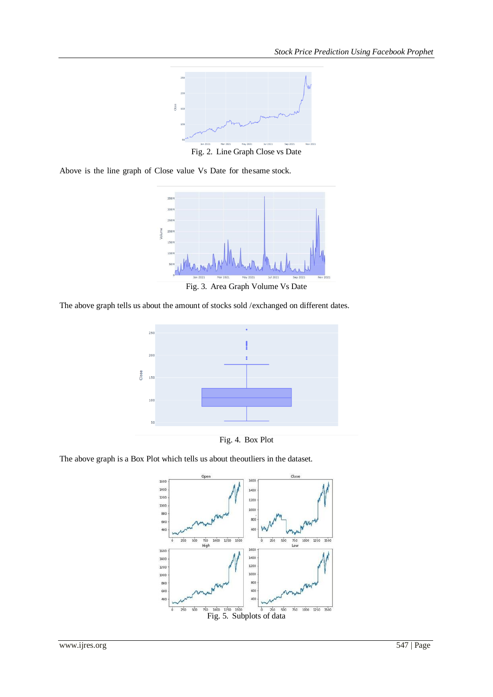

Fig. 2. Line Graph Close vs Date

Above is the line graph of Close value Vs Date for the same stock.



Fig. 3. Area Graph Volume Vs Date

The above graph tells us about the amount of stocks sold /exchanged on different dates.



Fig. 4. Box Plot

The above graph is a Box Plot which tells us about theoutliers in the dataset.

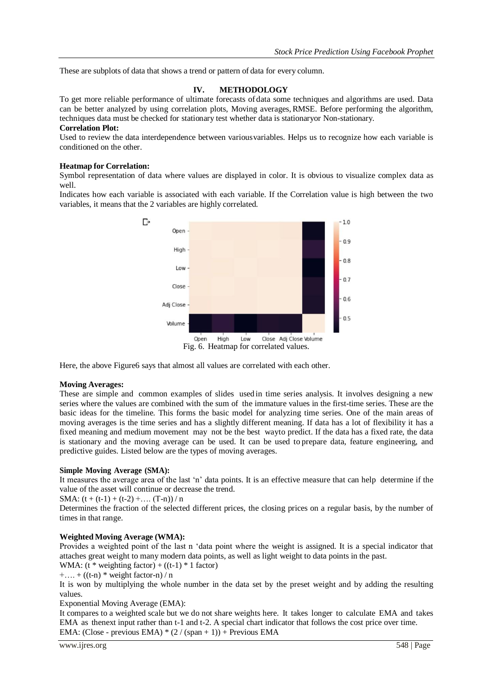These are subplots of data that shows a trend or pattern of data for every column.

# **IV. METHODOLOGY**

To get more reliable performance of ultimate forecasts of data some techniques and algorithms are used. Data can be better analyzed by using correlation plots, Moving averages,RMSE. Before performing the algorithm, techniques data must be checked for stationary test whether data is stationaryor Non-stationary.

# **Correlation Plot:**

Used to review the data interdependence between variousvariables. Helps us to recognize how each variable is conditioned on the other.

#### **Heatmap for Correlation:**

Symbol representation of data where values are displayed in color. It is obvious to visualize complex data as well.

Indicates how each variable is associated with each variable. If the Correlation value is high between the two variables, it means that the 2 variables are highly correlated.



Here, the above Figure6 says that almost all values are correlated with each other.

#### **Moving Averages:**

These are simple and common examples of slides used in time series analysis. It involves designing a new series where the values are combined with the sum of the immature values in the first-time series. These are the basic ideas for the timeline. This forms the basic model for analyzing time series. One of the main areas of moving averages is the time series and has a slightly different meaning. If data has a lot of flexibility it has a fixed meaning and medium movement may not be the best wayto predict. If the data has a fixed rate, the data is stationary and the moving average can be used. It can be used to prepare data, feature engineering, and predictive guides. Listed below are the types of moving averages.

# **Simple Moving Average (SMA):**

It measures the average area of the last 'n' data points. It is an effective measure that can help determine if the value of the asset will continue or decrease the trend.

SMA:  $(t + (t-1) + (t-2) + \dots (T-n))/n$ 

Determines the fraction of the selected different prices, the closing prices on a regular basis, by the number of times in that range.

# **Weighted Moving Average (WMA):**

Provides a weighted point of the last n 'data point where the weight is assigned. It is a special indicator that attaches great weight to many modern data points, as well as light weight to data points in the past.

WMA:  $(t * weighting factor) + ((t-1) * 1 factor)$ 

 $+....+((t-n)*weight factor-n)/n$ 

It is won by multiplying the whole number in the data set by the preset weight and by adding the resulting values.

Exponential Moving Average (EMA):

It compares to a weighted scale but we do not share weights here. It takes longer to calculate EMA and takes EMA as thenext input rather than t-1 and t-2. A special chart indicator that follows the cost price over time. EMA: (Close - previous EMA)  $*(2 / (span + 1)) +$  Previous EMA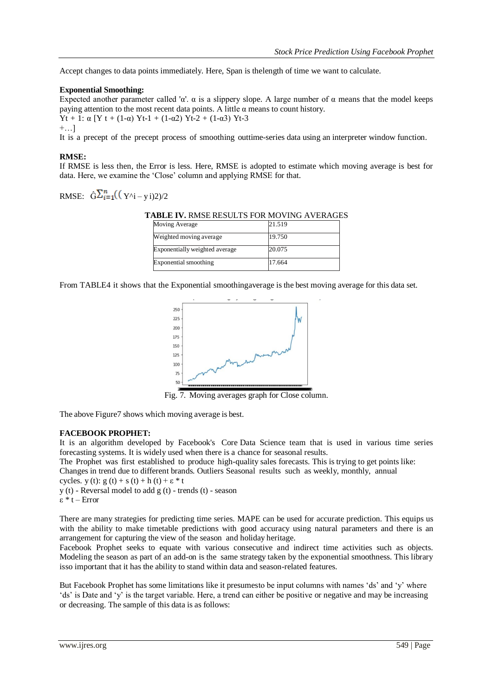Accept changes to data points immediately. Here, Span is thelength of time we want to calculate.

# **Exponential Smoothing:**

Expected another parameter called 'α'.  $\alpha$  is a slippery slope. A large number of  $\alpha$  means that the model keeps paying attention to the most recent data points. A little  $\alpha$  means to count history. Yt + 1: α [Y t + (1-α) Yt-1 + (1-α2) Yt-2 + (1-α3) Yt-3  $+...$ ]

It is a precept of the precept process of smoothing outtime-series data using an interpreter window function.

# **RMSE:**

If RMSE is less then, the Error is less. Here, RMSE is adopted to estimate which moving average is best for data. Here, we examine the 'Close' column and applying RMSE for that.

RMSE:  $\hat{G} \sum_{i=1}^{n} ((Y^i - y_i)^2)/2$ 

**TABLE IV.** RMSE RESULTS FOR MOVING AVERAGES

| Moving Average                 | 21.519 |
|--------------------------------|--------|
| Weighted moving average        | 19.750 |
| Exponentially weighted average | 20.075 |
| Exponential smoothing          | 17.664 |

From TABLE4 it shows that the Exponential smoothingaverage is the best moving average for this data set.



Fig. 7. Moving averages graph for Close column.

The above Figure7 shows which moving average is best.

# **FACEBOOK PROPHET:**

It is an algorithm developed by Facebook's Core Data Science team that is used in various time series forecasting systems. It is widely used when there is a chance for seasonal results.

The Prophet was first established to produce high-quality sales forecasts. This is trying to get points like: Changes in trend due to different brands. Outliers Seasonal results such as weekly, monthly, annual

cycles. y (t): g (t) + s (t) + h (t) +  $\varepsilon$  \* t

y (t) - Reversal model to add g (t) - trends (t) - season

ε \* t – Error

There are many strategies for predicting time series. MAPE can be used for accurate prediction. This equips us with the ability to make timetable predictions with good accuracy using natural parameters and there is an arrangement for capturing the view of the season and holiday heritage.

Facebook Prophet seeks to equate with various consecutive and indirect time activities such as objects. Modeling the season as part of an add-on is the same strategy taken by the exponential smoothness. This library isso important that it has the ability to stand within data and season-related features.

But Facebook Prophet has some limitations like it presumesto be input columns with names 'ds' and 'y' where 'ds' is Date and 'y' is the target variable. Here, a trend can either be positive or negative and may be increasing or decreasing. The sample of this data is as follows: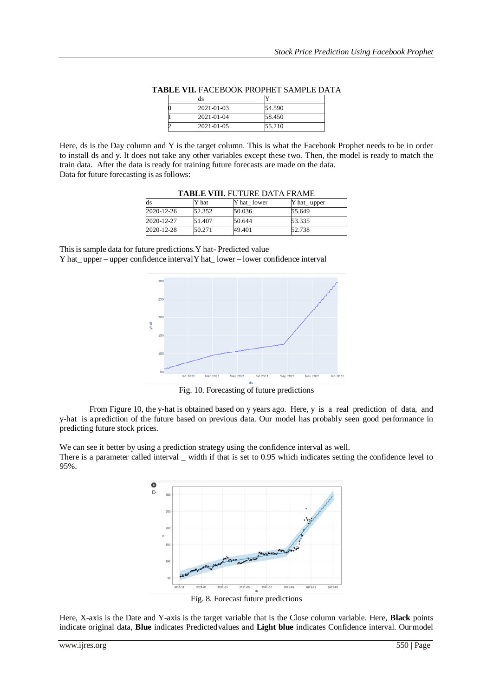| ds         |        |
|------------|--------|
| 2021-01-03 | 54.590 |
| 2021-01-04 | 58.450 |
| 2021-01-05 | 55.210 |

**TABLE VII.** FACEBOOK PROPHET SAMPLE DATA

Here, ds is the Day column and Y is the target column. This is what the Facebook Prophet needs to be in order to install ds and y. It does not take any other variables except these two. Then, the model is ready to match the train data. After the data is ready for training future forecasts are made on the data. Data for future forecasting is as follows:

| ds         | Y hat  | <b>IADLE VIII.</b> FUTURE DATA FRAME<br>Y hat lower | $Y$ hat _ upper |
|------------|--------|-----------------------------------------------------|-----------------|
| 2020-12-26 | 52.352 | 50.036                                              | 55.649          |
| 2020-12-27 | 51.407 | 50.644                                              | 53.335          |
| 2020-12-28 | 50.271 | 49.401                                              | 52.738          |

**TABLE VIII.** FUTURE DATA FRAME

This is sample data for future predictions. Y hat- Predicted value Y hat\_ upper – upper confidence intervalY hat\_ lower – lower confidence interval



Fig. 10. Forecasting of future predictions

From Figure 10, the y-hat is obtained based on y years ago. Here, y is a real prediction of data, and y-hat is aprediction of the future based on previous data. Our model has probably seen good performance in predicting future stock prices.

We can see it better by using a prediction strategy using the confidence interval as well.

There is a parameter called interval \_ width if that is set to 0.95 which indicates setting the confidence level to 95%.



Fig. 8. Forecast future predictions

Here, X-axis is the Date and Y-axis is the target variable that is the Close column variable. Here, **Black** points indicate original data, **Blue** indicates Predictedvalues and **Light blue** indicates Confidence interval. Ourmodel